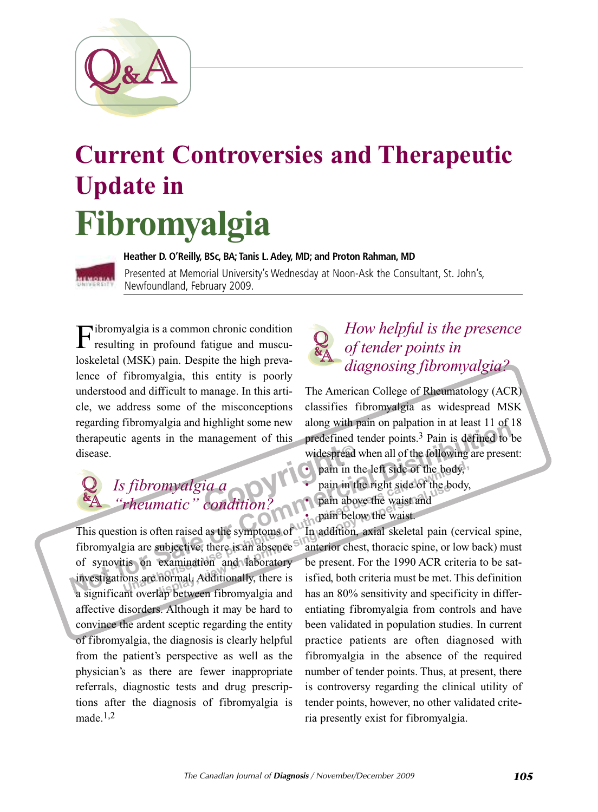

# **Current Controversies and Therapeutic Update in Fibromyalgia**



**Heather D. O'Reilly, BSc, BA; Tanis L.Adey, MD; and Proton Rahman, MD** Presented at Memorial University's Wednesday at Noon-Ask the Consultant, St. John's, Newfoundland, February 2009.

Fibromyalgia is <sup>a</sup> common chronic condition resulting in profound fatigue and musculoskeletal (MSK) pain. Despite the high prevalence of fibromyalgia, this entity is poorly understood and difficult to manage. In this article, we address some of the misconceptions regarding fibromyalgia and highlight some new therapeutic agents in the management of this disease.

### Expain in t<br> **Condition**<br>
Condition<br>
Condition<br>
Condition<br>
Condition<br>
Condition<br>
Condition<br>
Condition<br>
Condition<br>
Condition<br>
Condition<br>
Condition<br>
Condition<br>
Condition<br>
Condition<br>
Condition<br>
Condition<br>
Condition<br>
Condition *Is fibromyalgia a "rheumatic" condition?* & A  $\overline{\mathcal{Q}}$

**Example 1998** and in the management of this **predefined** tender points.<sup>3</sup> Pain is defined to disease.<br> **Notes predefined** tender points.<sup>3</sup> Pain is defined to disease.<br> **Notes predefined** tender points.<sup>3</sup> Pain is define **Example 1990 C pain** in the left side of the body,<br> **Pain in the right side of the body,**<br> **Pain above the waist and**<br> **Pain above the waist and**<br> **Pain above the waist and**<br> **Pain above the waist and**<br> **Pain below th display a condition?**<br>**pain above the waist and**<br>**ordinal pain below the waist.**<br>**ordinally, there** is an absence  $\frac{1}{2}$  **h** and **a co condition**, axial skeletal pain<br>**a condition a condition examinatio** This question is often raised as the symptoms of fibromyalgia are subjective, there is an absence of synovitis on examination and laboratory investigations are normal. Additionally, there is a significant overlap between fibromyalgia and affective disorders. Although it may be hard to convince the ardent sceptic regarding the entity of fibromyalgia, the diagnosis is clearly helpful from the patient's perspective as well as the physician's as there are fewer inappropriate referrals, diagnostic tests and drug prescriptions after the diagnosis of fibromyalgia is made. 1,2

#### *How helpful is the presence of tender points in diagnosing fibromyalgia?* & A  $\overline{\mathcal{Q}}$

The American College of Rheumatology (ACR) classifies fibromyalgia as widespread MSK along with pain on palpation in at least 11 of 18 predefined tender points. 3 Pain is defined to be widespread when all of the following are present:

- pain in the left side of the body,
- pain in the right side of the body,
- pain above the waist and
- pain below the waist.

In addition, axial skeletal pain (cervical spine, anterior chest, thoracic spine, or low back) must be present. For the 1990 ACR criteria to be satisfied, both criteria must be met. This definition has an 80% sensitivity and specificity in differentiating fibromyalgia from controls and have been validated in population studies. In current practice patients are often diagnosed with fibromyalgia in the absence of the required number of tender points. Thus, at present, there is controversy regarding the clinical utility of tender points, however, no other validated criteria presently exist for fibromyalgia.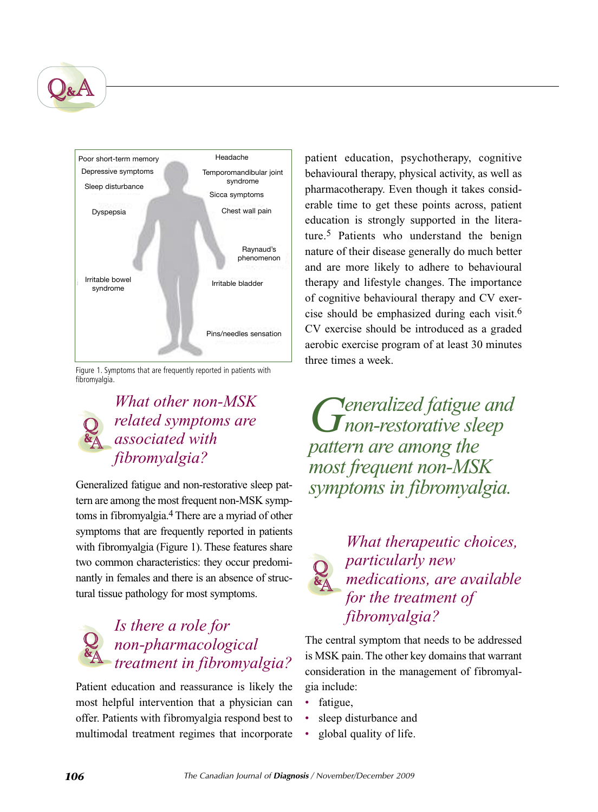



Figure 1. Symptoms that are frequently reported in patients with fibromyalgia.

### *What other non-MSK related symptoms are associated with fibromyalgia?* A  $\overline{\mathcal{Q}}$

Generalized fatigue and non-restorative sleep pattern are among the most frequent non-MSK symptoms in fibromyalgia. 4 There are a myriad of other symptoms that are frequently reported in patients with fibromyalgia (Figure 1). These features share two common characteristics: they occur predominantly in females and there is an absence of structural tissue pathology for most symptoms.

#### *Is there a role for non-pharmacological treatment in fibromyalgia?* A &  $\overline{\mathcal{Q}}$

Patient education and reassurance is likely the most helpful intervention that a physician can offer. Patients with fibromyalgia respond best to multimodal treatment regimes that incorporate

patient education, psychotherapy, cognitive behavioural therapy, physical activity, as well as pharmacotherapy. Even though it takes considerable time to get these points across, patient education is strongly supported in the literature. 5 Patients who understand the benign nature of their disease generally do much better and are more likely to adhere to behavioural therapy and lifestyle changes. The importance of cognitive behavioural therapy and CV exercise should be emphasized during each visit. 6 CV exercise should be introduced as a graded aerobic exercise program of at least 30 minutes three times a week.

*Generalized fatigue and non-restorative sleep pattern are among the most frequent non-MSK symptoms in fibromyalgia.*



*What therapeutic choices, particularly new medications, are available for the treatment of fibromyalgia?*

The central symptom that needs to be addressed is MSK pain.The other key domains that warrant consideration in the management of fibromyalgia include:

- fatigue,
- sleep disturbance and
- global quality of life.

&